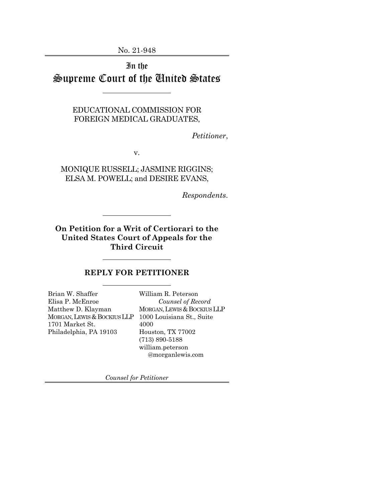No. 21-948

In the Supreme Court of the United States

> EDUCATIONAL COMMISSION FOR FOREIGN MEDICAL GRADUATES,

> > *Petitioner*,

v.

MONIQUE RUSSELL; JASMINE RIGGINS; ELSA M. POWELL; and DESIRE EVANS,

*Respondents*.

**On Petition for a Writ of Certiorari to the United States Court of Appeals for the Third Circuit**

#### **REPLY FOR PETITIONER**

Brian W. Shaffer Elisa P. McEnroe Matthew D. Klayman MORGAN, LEWIS & BOCKIUS LLP 1701 Market St. Philadelphia, PA 19103

William R. Peterson *Counsel of Record* MORGAN, LEWIS & BOCKIUS LLP 1000 Louisiana St., Suite 4000 Houston, TX 77002 (713) 890-5188 william.peterson @morganlewis.com

*Counsel for Petitioner*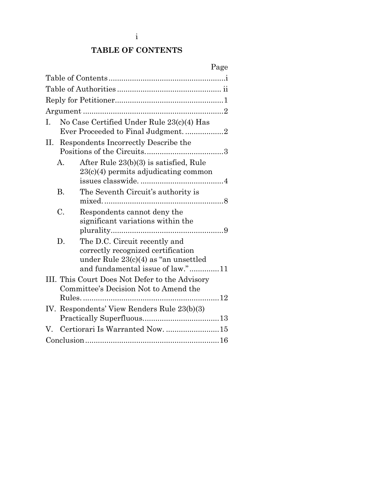## **TABLE OF CONTENTS**

<span id="page-1-0"></span>

|      |           |                                                | Page |
|------|-----------|------------------------------------------------|------|
|      |           |                                                |      |
|      |           |                                                |      |
|      |           |                                                |      |
|      |           |                                                |      |
| I.   |           | No Case Certified Under Rule 23(c)(4) Has      |      |
|      |           | Ever Proceeded to Final Judgment. 2            |      |
| П. - |           | Respondents Incorrectly Describe the           |      |
|      |           |                                                |      |
|      | A.        | After Rule 23(b)(3) is satisfied, Rule         |      |
|      |           | $23(c)(4)$ permits adjudicating common         |      |
|      |           |                                                |      |
|      | <b>B.</b> | The Seventh Circuit's authority is             |      |
|      |           |                                                |      |
|      | C.        | Respondents cannot deny the                    |      |
|      |           | significant variations within the              |      |
|      |           |                                                |      |
|      | D.        | The D.C. Circuit recently and                  |      |
|      |           | correctly recognized certification             |      |
|      |           | under Rule $23(c)(4)$ as "an unsettled         |      |
|      |           | and fundamental issue of law."11               |      |
|      |           | III. This Court Does Not Defer to the Advisory |      |
|      |           | Committee's Decision Not to Amend the          |      |
|      |           |                                                |      |
|      |           | IV. Respondents' View Renders Rule 23(b)(3)    |      |
|      |           |                                                |      |
| V.   |           | Certiorari Is Warranted Now15                  |      |
|      |           |                                                |      |
|      |           |                                                |      |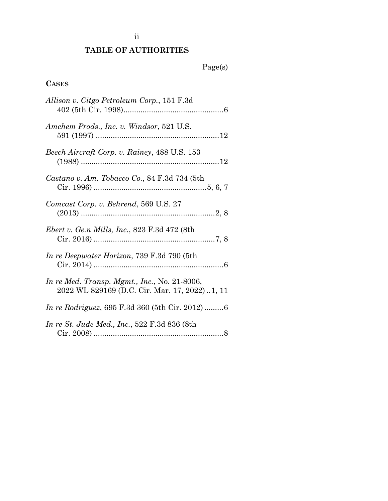### ii

## **TABLE OF AUTHORITIES**

# Page(s)

## <span id="page-2-0"></span>**CASES**

| Allison v. Citgo Petroleum Corp., 151 F.3d                                                     |
|------------------------------------------------------------------------------------------------|
| Amchem Prods., Inc. v. Windsor, 521 U.S.                                                       |
| Beech Aircraft Corp. v. Rainey, 488 U.S. 153                                                   |
| Castano v. Am. Tobacco Co., 84 F.3d 734 (5th                                                   |
| Comcast Corp. v. Behrend, 569 U.S. 27                                                          |
| <i>Ebert v. Ge.n Mills, Inc., 823 F.3d 472 (8th</i> )                                          |
| In re Deepwater Horizon, 739 F.3d 790 (5th                                                     |
| In re Med. Transp. Mgmt., Inc., No. 21-8006,<br>2022 WL 829169 (D.C. Cir. Mar. 17, 2022) 1, 11 |
| <i>In re Rodriguez</i> , 695 F.3d 360 (5th Cir. 2012) 6                                        |
| In re St. Jude Med., Inc., 522 F.3d 836 (8th                                                   |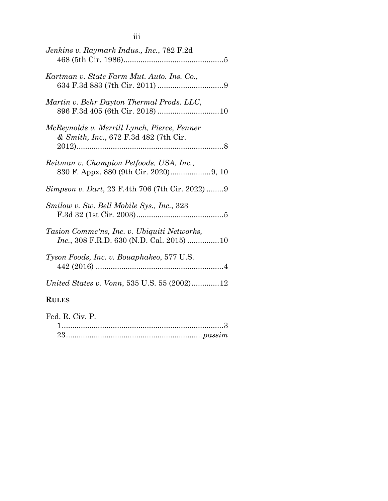| Jenkins v. Raymark Indus., Inc., 782 F.2d                                                       |
|-------------------------------------------------------------------------------------------------|
| Kartman v. State Farm Mut. Auto. Ins. Co.,                                                      |
| Martin v. Behr Dayton Thermal Prods. LLC,                                                       |
| McReynolds v. Merrill Lynch, Pierce, Fenner<br>& Smith, Inc., 672 F.3d 482 (7th Cir.            |
| Reitman v. Champion Petfoods, USA, Inc.,                                                        |
| Simpson v. Dart, 23 F.4th 706 (7th Cir. 2022) 9                                                 |
| Smilow v. Sw. Bell Mobile Sys., Inc., 323                                                       |
| Tasion Comme'ns, Inc. v. Ubiquiti Networks,<br><i>Inc.</i> , 308 F.R.D. 630 (N.D. Cal. 2015) 10 |
| Tyson Foods, Inc. v. Bouaphakeo, 577 U.S.                                                       |
| United States v. Vonn, 535 U.S. 55 (2002)12                                                     |
| <b>RULES</b>                                                                                    |
| Fed. R. Civ. P.                                                                                 |

| $\mathbf{v}$ . $\mathbf{v}$ . $\mathbf{v}$ . $\mathbf{v}$ . $\mathbf{v}$ . |  |
|----------------------------------------------------------------------------|--|
|                                                                            |  |
|                                                                            |  |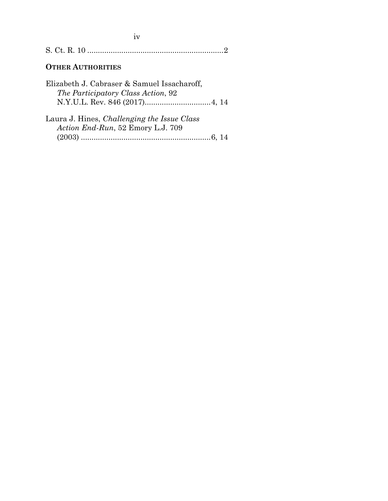| $\overline{\phantom{a}}$ |  |
|--------------------------|--|
| w                        |  |

## **OTHER AUTHORITIES**

| Elizabeth J. Cabraser & Samuel Issacharoff, |
|---------------------------------------------|
| The Participatory Class Action, 92          |
|                                             |
|                                             |
| Laura J Hinos Challenging the Jesue Class   |

| Laura J. Hines, Challenging the Issue Class |  |
|---------------------------------------------|--|
| Action End-Run, 52 Emory L.J. 709           |  |
|                                             |  |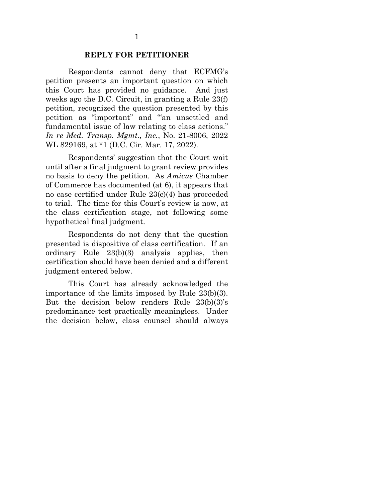#### <span id="page-5-2"></span>**REPLY FOR PETITIONER**

<span id="page-5-0"></span>Respondents cannot deny that ECFMG's petition presents an important question on which this Court has provided no guidance. And just weeks ago the D.C. Circuit, in granting a Rule 23(f) petition, recognized the question presented by this petition as "important" and "'an unsettled and fundamental issue of law relating to class actions." *In re Med. Transp. Mgmt., Inc.*, No. 21-8006, 2022 WL 829169, at \*1 (D.C. Cir. Mar. 17, 2022).

<span id="page-5-1"></span>Respondents' suggestion that the Court wait until after a final judgment to grant review provides no basis to deny the petition. As *Amicus* Chamber of Commerce has documented (at 6), it appears that no case certified under Rule 23(c)(4) has proceeded to trial. The time for this Court's review is now, at the class certification stage, not following some hypothetical final judgment.

Respondents do not deny that the question presented is dispositive of class certification. If an ordinary Rule 23(b)(3) analysis applies, then certification should have been denied and a different judgment entered below.

This Court has already acknowledged the importance of the limits imposed by Rule 23(b)(3). But the decision below renders Rule 23(b)(3)'s predominance test practically meaningless. Under the decision below, class counsel should always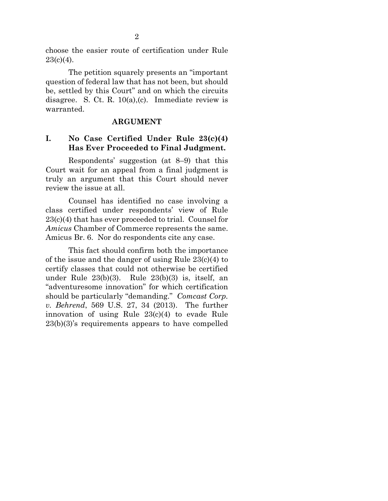choose the easier route of certification under Rule  $23(c)(4)$ .

The petition squarely presents an "important question of federal law that has not been, but should be, settled by this Court" and on which the circuits disagree. S. Ct. R.  $10(a)$ , (c). Immediate review is warranted.

#### <span id="page-6-3"></span>**ARGUMENT**

### <span id="page-6-1"></span><span id="page-6-0"></span>**I. No Case Certified Under Rule 23(c)(4) Has Ever Proceeded to Final Judgment.**

Respondents' suggestion (at 8–9) that this Court wait for an appeal from a final judgment is truly an argument that this Court should never review the issue at all.

Counsel has identified no case involving a class certified under respondents' view of Rule 23(c)(4) that has ever proceeded to trial. Counsel for *Amicus* Chamber of Commerce represents the same. Amicus Br. 6. Nor do respondents cite any case.

<span id="page-6-2"></span>This fact should confirm both the importance of the issue and the danger of using Rule 23(c)(4) to certify classes that could not otherwise be certified under Rule 23(b)(3). Rule 23(b)(3) is, itself, an "adventuresome innovation" for which certification should be particularly "demanding." *Comcast Corp. v. Behrend*, 569 U.S. 27, 34 (2013). The further innovation of using Rule 23(c)(4) to evade Rule 23(b)(3)'s requirements appears to have compelled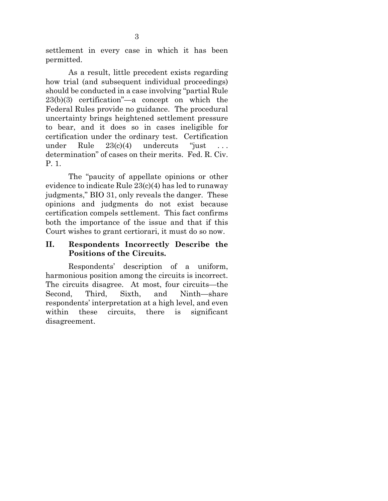settlement in every case in which it has been permitted.

As a result, little precedent exists regarding how trial (and subsequent individual proceedings) should be conducted in a case involving "partial Rule 23(b)(3) certification"—a concept on which the Federal Rules provide no guidance. The procedural uncertainty brings heightened settlement pressure to bear, and it does so in cases ineligible for certification under the ordinary test. Certification under Rule  $23(c)(4)$  undercuts "just ... determination" of cases on their merits. Fed. R. Civ. P. 1.

<span id="page-7-1"></span>The "paucity of appellate opinions or other evidence to indicate Rule 23(c)(4) has led to runaway judgments," BIO 31, only reveals the danger. These opinions and judgments do not exist because certification compels settlement. This fact confirms both the importance of the issue and that if this Court wishes to grant certiorari, it must do so now.

### <span id="page-7-0"></span>**II. Respondents Incorrectly Describe the Positions of the Circuits.**

Respondents' description of a uniform, harmonious position among the circuits is incorrect. The circuits disagree. At most, four circuits—the Second, Third, Sixth, and Ninth—share respondents' interpretation at a high level, and even within these circuits, there is significant disagreement.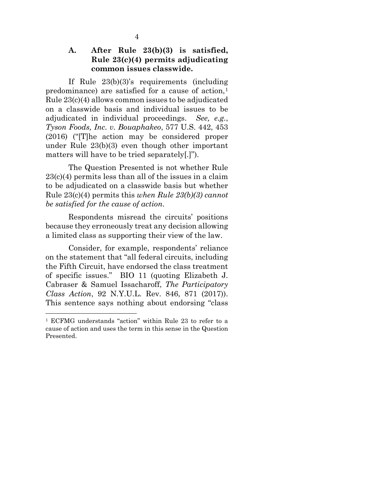#### <span id="page-8-0"></span>**A. After Rule 23(b)(3) is satisfied, Rule 23(c)(4) permits adjudicating common issues classwide.**

If Rule 23(b)(3)'s requirements (including predominance) are satisfied for a cause of action, $<sup>1</sup>$  $<sup>1</sup>$  $<sup>1</sup>$ </sup> Rule 23(c)(4) allows common issues to be adjudicated on a classwide basis and individual issues to be adjudicated in individual proceedings. *See, e.g.*, *Tyson Foods, Inc. v. Bouaphakeo*, 577 U.S. 442, 453 (2016) ("[T]he action may be considered proper under Rule 23(b)(3) even though other important matters will have to be tried separately[.]").

<span id="page-8-1"></span>The Question Presented is not whether Rule 23(c)(4) permits less than all of the issues in a claim to be adjudicated on a classwide basis but whether Rule 23(c)(4) permits this *when Rule 23(b)(3) cannot be satisfied for the cause of action*.

Respondents misread the circuits' positions because they erroneously treat any decision allowing a limited class as supporting their view of the law.

<span id="page-8-2"></span>Consider, for example, respondents' reliance on the statement that "all federal circuits, including the Fifth Circuit, have endorsed the class treatment of specific issues." BIO 11 (quoting Elizabeth J. Cabraser & Samuel Issacharoff, *The Participatory Class Action*, 92 N.Y.U.L. Rev. 846, 871 (2017)). This sentence says nothing about endorsing "class

<span id="page-8-3"></span><sup>1</sup> ECFMG understands "action" within Rule 23 to refer to a cause of action and uses the term in this sense in the Question Presented.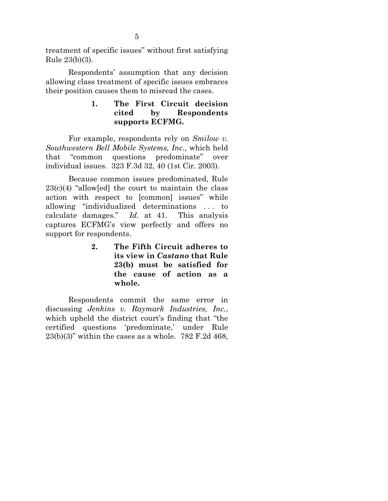treatment of specific issues" without first satisfying Rule 23(b)(3).

Respondents' assumption that any decision allowing class treatment of specific issues embraces their position causes them to misread the cases.

### <span id="page-9-2"></span>**1. The First Circuit decision cited by Respondents supports ECFMG.**

For example, respondents rely on *Smilow v. Southwestern Bell Mobile Systems, Inc.*, which held that "common questions predominate" over individual issues. 323 F.3d 32, 40 (1st Cir. 2003).

Because common issues predominated, Rule  $23(c)(4)$  "allow[ed] the court to maintain the class action with respect to [common] issues" while allowing "individualized determinations . . . to calculate damages." *Id.* at 41. This analysis captures ECFMG's view perfectly and offers no support for respondents.

> <span id="page-9-0"></span>**2. The Fifth Circuit adheres to its view in** *Castano* **that Rule 23(b) must be satisfied for the cause of action as a whole.**

<span id="page-9-1"></span>Respondents commit the same error in discussing *Jenkins v. Raymark Industries, Inc.*, which upheld the district court's finding that "the certified questions 'predominate,' under Rule  $23(b)(3)$ " within the cases as a whole. 782 F.2d 468,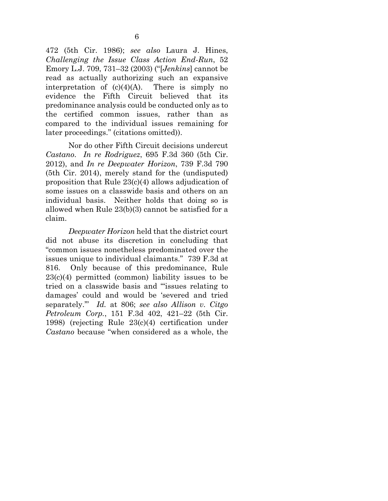<span id="page-10-4"></span>472 (5th Cir. 1986); *see also* Laura J. Hines, *Challenging the Issue Class Action End-Run*, 52 Emory L.J. 709, 731–32 (2003) ("[*Jenkins*] cannot be read as actually authorizing such an expansive interpretation of  $(c)(4)(A)$ . There is simply no evidence the Fifth Circuit believed that its predominance analysis could be conducted only as to the certified common issues, rather than as compared to the individual issues remaining for later proceedings." (citations omitted)).

<span id="page-10-3"></span><span id="page-10-2"></span><span id="page-10-1"></span>Nor do other Fifth Circuit decisions undercut *Castano*. *In re Rodriguez*, 695 F.3d 360 (5th Cir. 2012), and *In re Deepwater Horizon*, 739 F.3d 790 (5th Cir. 2014), merely stand for the (undisputed) proposition that Rule 23(c)(4) allows adjudication of some issues on a classwide basis and others on an individual basis. Neither holds that doing so is allowed when Rule 23(b)(3) cannot be satisfied for a claim.

<span id="page-10-0"></span>*Deepwater Horizon* held that the district court did not abuse its discretion in concluding that "common issues nonetheless predominated over the issues unique to individual claimants." 739 F.3d at 816. Only because of this predominance, Rule  $23(c)(4)$  permitted (common) liability issues to be tried on a classwide basis and "'issues relating to damages' could and would be 'severed and tried separately.'" *Id.* at 806; *see also Allison v. Citgo Petroleum Corp.*, 151 F.3d 402, 421–22 (5th Cir. 1998) (rejecting Rule 23(c)(4) certification under *Castano* because "when considered as a whole, the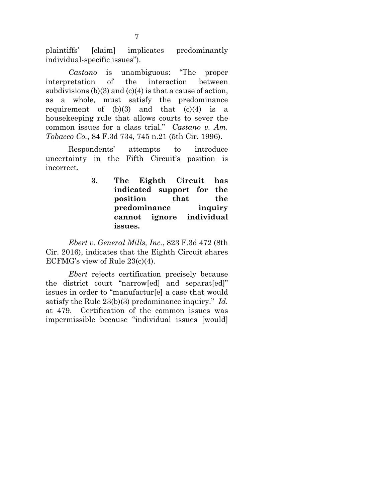plaintiffs' [claim] implicates predominantly individual-specific issues").

<span id="page-11-0"></span>*Castano* is unambiguous: "The proper interpretation of the interaction between subdivisions  $(b)(3)$  and  $(c)(4)$  is that a cause of action, as a whole, must satisfy the predominance requirement of  $(b)(3)$  and that  $(c)(4)$  is a housekeeping rule that allows courts to sever the common issues for a class trial." *Castano v. Am. Tobacco Co.*, 84 F.3d 734, 745 n.21 (5th Cir. 1996).

Respondents' attempts to introduce uncertainty in the Fifth Circuit's position is incorrect.

> **3. The Eighth Circuit has indicated support for the position that the predominance inquiry cannot ignore individual issues.**

<span id="page-11-1"></span>*Ebert v. General Mills, Inc.*, 823 F.3d 472 (8th Cir. 2016), indicates that the Eighth Circuit shares ECFMG's view of Rule 23(c)(4).

*Ebert* rejects certification precisely because the district court "narrow[ed] and separat[ed]" issues in order to "manufactur[e] a case that would satisfy the Rule 23(b)(3) predominance inquiry." *Id.* at 479. Certification of the common issues was impermissible because "individual issues [would]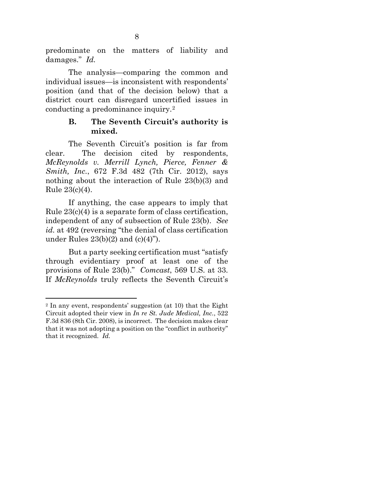<span id="page-12-2"></span>predominate on the matters of liability and damages." *Id.*

The analysis—comparing the common and individual issues—is inconsistent with respondents' position (and that of the decision below) that a district court can disregard uncertified issues in conducting a predominance inquiry.[2](#page-12-5)

### **B. The Seventh Circuit's authority is mixed.**

<span id="page-12-4"></span><span id="page-12-0"></span>The Seventh Circuit's position is far from clear. The decision cited by respondents, *McReynolds v. Merrill Lynch, Pierce, Fenner & Smith, Inc.*, 672 F.3d 482 (7th Cir. 2012), says nothing about the interaction of Rule 23(b)(3) and Rule 23(c)(4).

If anything, the case appears to imply that Rule 23(c)(4) is a separate form of class certification, independent of any of subsection of Rule 23(b). *See id.* at 492 (reversing "the denial of class certification under Rules  $23(b)(2)$  and  $(c)(4)$ ").

<span id="page-12-1"></span>But a party seeking certification must "satisfy through evidentiary proof at least one of the provisions of Rule 23(b)." *Comcast*, 569 U.S. at 33. If *McReynolds* truly reflects the Seventh Circuit's

<span id="page-12-5"></span><span id="page-12-3"></span><sup>2</sup> In any event, respondents' suggestion (at 10) that the Eight Circuit adopted their view in *In re St. Jude Medical, Inc.*, 522 F.3d 836 (8th Cir. 2008), is incorrect. The decision makes clear that it was not adopting a position on the "conflict in authority" that it recognized. *Id.*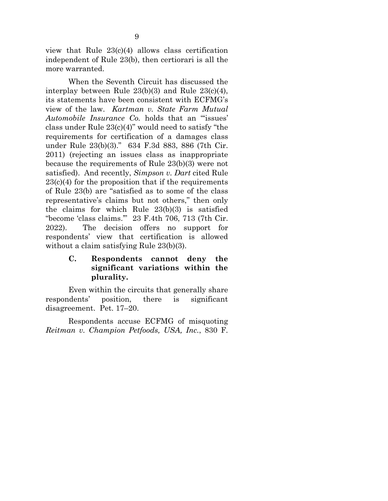view that Rule 23(c)(4) allows class certification independent of Rule 23(b), then certiorari is all the more warranted.

<span id="page-13-1"></span>When the Seventh Circuit has discussed the interplay between Rule  $23(b)(3)$  and Rule  $23(c)(4)$ , its statements have been consistent with ECFMG's view of the law. *Kartman v. State Farm Mutual Automobile Insurance Co.* holds that an "'issues' class under Rule 23(c)(4)" would need to satisfy "the requirements for certification of a damages class under Rule 23(b)(3)." 634 F.3d 883, 886 (7th Cir. 2011) (rejecting an issues class as inappropriate because the requirements of Rule 23(b)(3) were not satisfied). And recently, *Simpson v. Dart* cited Rule  $23(c)(4)$  for the proposition that if the requirements of Rule 23(b) are "satisfied as to some of the class representative's claims but not others," then only the claims for which Rule 23(b)(3) is satisfied "become 'class claims.'" 23 F.4th 706, 713 (7th Cir. 2022). The decision offers no support for respondents' view that certification is allowed without a claim satisfying Rule 23(b)(3).

### <span id="page-13-3"></span><span id="page-13-0"></span>**C. Respondents cannot deny the significant variations within the plurality.**

Even within the circuits that generally share respondents' position, there is significant disagreement. Pet. 17–20.

<span id="page-13-2"></span>Respondents accuse ECFMG of misquoting *Reitman v. Champion Petfoods, USA, Inc.*, 830 F.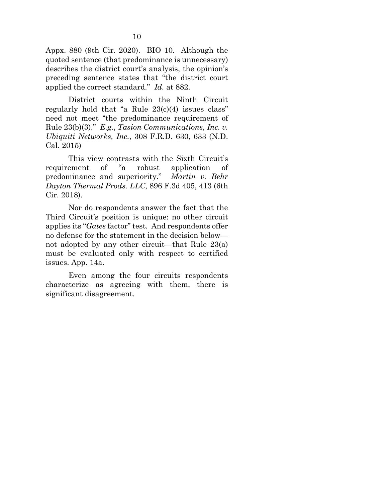Appx. 880 (9th Cir. 2020). BIO 10. Although the quoted sentence (that predominance is unnecessary) describes the district court's analysis, the opinion's preceding sentence states that "the district court applied the correct standard." *Id.* at 882.

<span id="page-14-2"></span><span id="page-14-1"></span>District courts within the Ninth Circuit regularly hold that "a Rule  $23(c)(4)$  issues class" need not meet "the predominance requirement of Rule 23(b)(3)." *E.g.*, *Tasion Communications, Inc. v. Ubiquiti Networks, Inc.*, 308 F.R.D. 630, 633 (N.D. Cal. 2015)

<span id="page-14-0"></span>This view contrasts with the Sixth Circuit's requirement of "a robust application of predominance and superiority." *Martin v. Behr Dayton Thermal Prods. LLC*, 896 F.3d 405, 413 (6th Cir. 2018).

Nor do respondents answer the fact that the Third Circuit's position is unique: no other circuit applies its "*Gates* factor" test. And respondents offer no defense for the statement in the decision below not adopted by any other circuit—that Rule 23(a) must be evaluated only with respect to certified issues. App. 14a.

Even among the four circuits respondents characterize as agreeing with them, there is significant disagreement.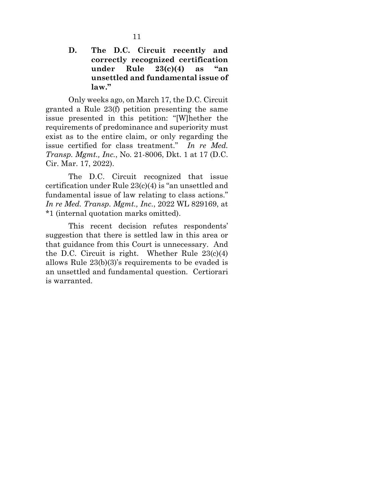<span id="page-15-0"></span>**D. The D.C. Circuit recently and correctly recognized certification under Rule 23(c)(4) as "an unsettled and fundamental issue of law."**

Only weeks ago, on March 17, the D.C. Circuit granted a Rule 23(f) petition presenting the same issue presented in this petition: "[W]hether the requirements of predominance and superiority must exist as to the entire claim, or only regarding the issue certified for class treatment." *In re Med. Transp. Mgmt., Inc.*, No. 21-8006, Dkt. 1 at 17 (D.C. Cir. Mar. 17, 2022).

The D.C. Circuit recognized that issue certification under Rule 23(c)(4) is "an unsettled and fundamental issue of law relating to class actions." *In re Med. Transp. Mgmt., Inc.*, 2022 WL 829169, at \*1 (internal quotation marks omitted).

<span id="page-15-1"></span>This recent decision refutes respondents' suggestion that there is settled law in this area or that guidance from this Court is unnecessary. And the D.C. Circuit is right. Whether Rule  $23(c)(4)$ allows Rule 23(b)(3)'s requirements to be evaded is an unsettled and fundamental question. Certiorari is warranted.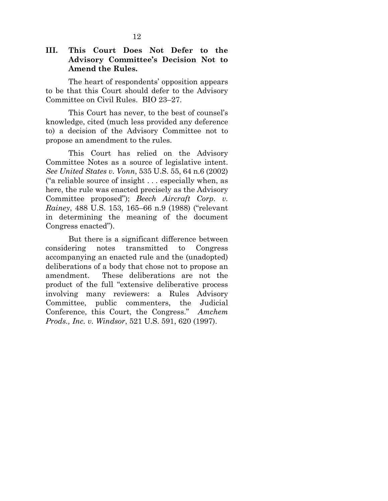#### <span id="page-16-0"></span>**III. This Court Does Not Defer to the Advisory Committee's Decision Not to Amend the Rules.**

The heart of respondents' opposition appears to be that this Court should defer to the Advisory Committee on Civil Rules. BIO 23–27.

This Court has never, to the best of counsel's knowledge, cited (much less provided any deference to) a decision of the Advisory Committee not to propose an amendment to the rules.

<span id="page-16-3"></span>This Court has relied on the Advisory Committee Notes as a source of legislative intent. *See United States v. Vonn*, 535 U.S. 55, 64 n.6 (2002) ("a reliable source of insight . . . especially when, as here, the rule was enacted precisely as the Advisory Committee proposed"); *Beech Aircraft Corp. v. Rainey*, 488 U.S. 153, 165–66 n.9 (1988) ("relevant in determining the meaning of the document Congress enacted").

<span id="page-16-2"></span><span id="page-16-1"></span>But there is a significant difference between considering notes transmitted to Congress accompanying an enacted rule and the (unadopted) deliberations of a body that chose not to propose an amendment. These deliberations are not the product of the full "extensive deliberative process involving many reviewers: a Rules Advisory Committee, public commenters, the Judicial Conference, this Court, the Congress." *Amchem Prods., Inc. v. Windsor*, 521 U.S. 591, 620 (1997).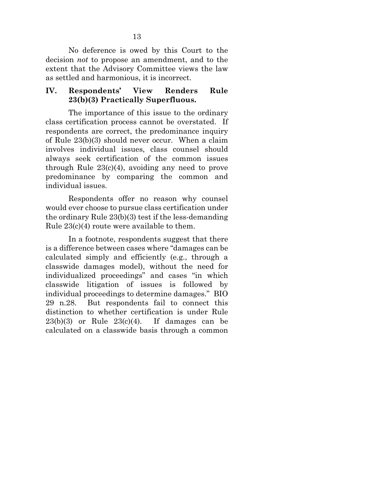No deference is owed by this Court to the decision *not* to propose an amendment, and to the extent that the Advisory Committee views the law as settled and harmonious, it is incorrect.

#### <span id="page-17-0"></span>**IV. Respondents' View Renders Rule 23(b)(3) Practically Superfluous.**

The importance of this issue to the ordinary class certification process cannot be overstated. If respondents are correct, the predominance inquiry of Rule 23(b)(3) should never occur. When a claim involves individual issues, class counsel should always seek certification of the common issues through Rule 23(c)(4), avoiding any need to prove predominance by comparing the common and individual issues.

Respondents offer no reason why counsel would ever choose to pursue class certification under the ordinary Rule 23(b)(3) test if the less-demanding Rule 23(c)(4) route were available to them.

In a footnote, respondents suggest that there is a difference between cases where "damages can be calculated simply and efficiently (e.g., through a classwide damages model), without the need for individualized proceedings" and cases "in which classwide litigation of issues is followed by individual proceedings to determine damages." BIO 29 n.28. But respondents fail to connect this distinction to whether certification is under Rule  $23(b)(3)$  or Rule  $23(c)(4)$ . If damages can be calculated on a classwide basis through a common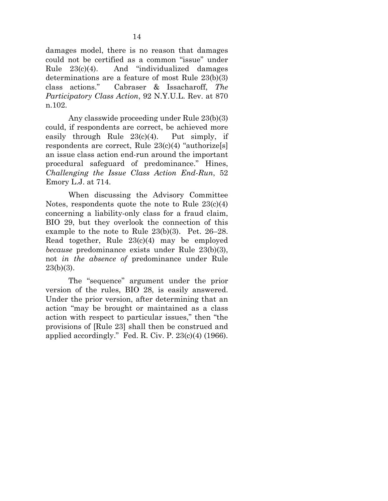damages model, there is no reason that damages could not be certified as a common "issue" under Rule 23(c)(4). And "individualized damages determinations are a feature of most Rule 23(b)(3) class actions." Cabraser & Issacharoff, *The Participatory Class Action*, 92 N.Y.U.L. Rev. at 870 n.102.

<span id="page-18-0"></span>Any classwide proceeding under Rule 23(b)(3) could, if respondents are correct, be achieved more easily through Rule 23(c)(4). Put simply, if respondents are correct, Rule 23(c)(4) "authorize[s] an issue class action end-run around the important procedural safeguard of predominance." Hines, *Challenging the Issue Class Action End-Run*, 52 Emory L.J. at 714.

<span id="page-18-1"></span>When discussing the Advisory Committee Notes, respondents quote the note to Rule 23(c)(4) concerning a liability-only class for a fraud claim, BIO 29, but they overlook the connection of this example to the note to Rule 23(b)(3). Pet. 26–28. Read together, Rule 23(c)(4) may be employed *because* predominance exists under Rule 23(b)(3), not *in the absence of* predominance under Rule  $23(b)(3)$ .

The "sequence" argument under the prior version of the rules, BIO 28, is easily answered. Under the prior version, after determining that an action "may be brought or maintained as a class action with respect to particular issues," then "the provisions of [Rule 23] shall then be construed and applied accordingly." Fed. R. Civ. P. 23(c)(4) (1966).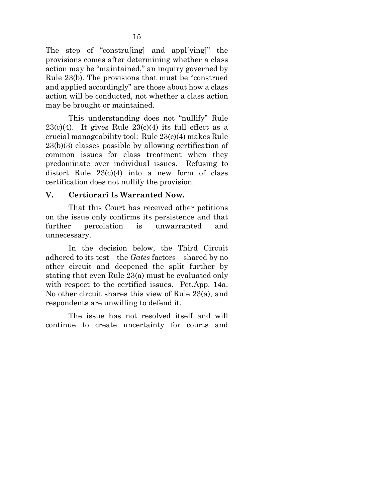The step of "constru[ing] and appl[ying]" the provisions comes after determining whether a class action may be "maintained," an inquiry governed by Rule 23(b). The provisions that must be "construed and applied accordingly" are those about how a class action will be conducted, not whether a class action may be brought or maintained.

This understanding does not "nullify" Rule  $23(c)(4)$ . It gives Rule  $23(c)(4)$  its full effect as a crucial manageability tool: Rule 23(c)(4) makes Rule 23(b)(3) classes possible by allowing certification of common issues for class treatment when they predominate over individual issues. Refusing to distort Rule 23(c)(4) into a new form of class certification does not nullify the provision.

#### <span id="page-19-0"></span>**V. Certiorari Is Warranted Now.**

That this Court has received other petitions on the issue only confirms its persistence and that further percolation is unwarranted and unnecessary.

In the decision below, the Third Circuit adhered to its test—the *Gates* factors—shared by no other circuit and deepened the split further by stating that even Rule 23(a) must be evaluated only with respect to the certified issues. Pet.App. 14a. No other circuit shares this view of Rule 23(a), and respondents are unwilling to defend it.

The issue has not resolved itself and will continue to create uncertainty for courts and